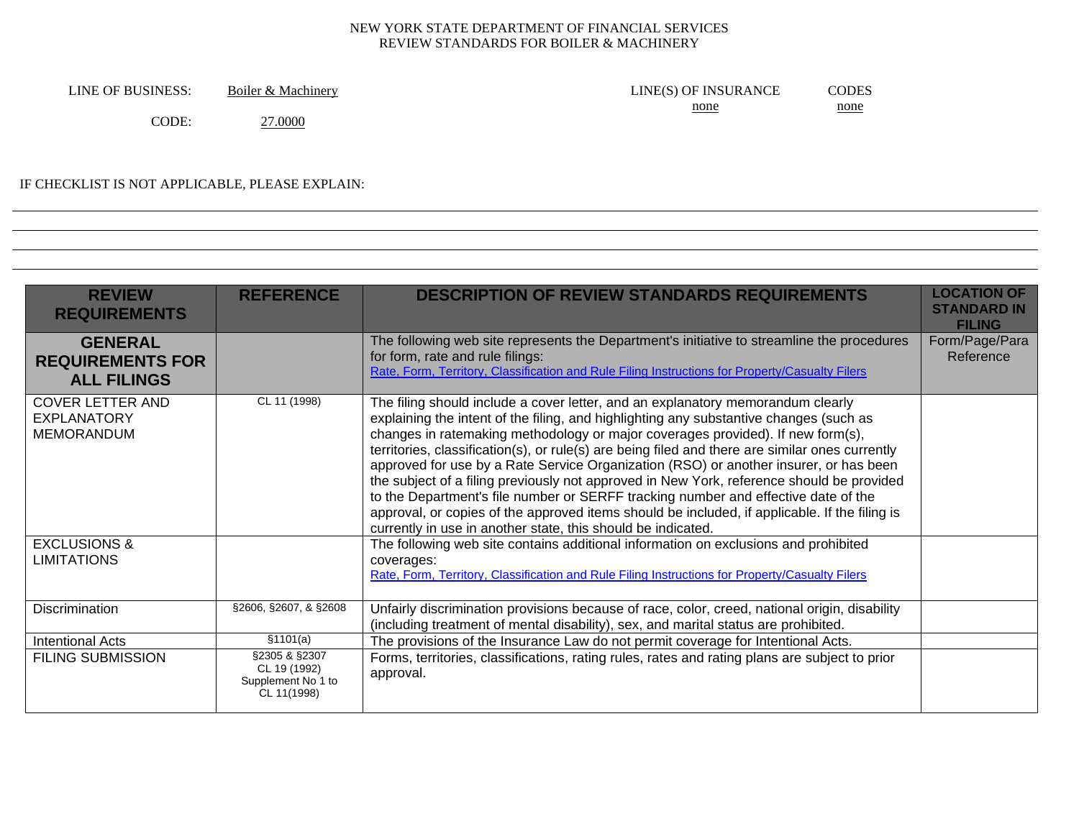LINE OF BUSINESS: Boiler & Machinery LINE(S) OF INSURANCE CODES none none CODE: 27.0000

#### IF CHECKLIST IS NOT APPLICABLE, PLEASE EXPLAIN:

| <b>REVIEW</b><br><b>REQUIREMENTS</b>                               | <b>REFERENCE</b>                                                   | <b>DESCRIPTION OF REVIEW STANDARDS REQUIREMENTS</b>                                                                                                                                                                                                                                                                                                                                                                                                                                                                                                                                                                                                                                                                                                                                                          | <b>LOCATION OF</b><br><b>STANDARD IN</b><br><b>FILING</b> |
|--------------------------------------------------------------------|--------------------------------------------------------------------|--------------------------------------------------------------------------------------------------------------------------------------------------------------------------------------------------------------------------------------------------------------------------------------------------------------------------------------------------------------------------------------------------------------------------------------------------------------------------------------------------------------------------------------------------------------------------------------------------------------------------------------------------------------------------------------------------------------------------------------------------------------------------------------------------------------|-----------------------------------------------------------|
| <b>GENERAL</b><br><b>REQUIREMENTS FOR</b><br><b>ALL FILINGS</b>    |                                                                    | The following web site represents the Department's initiative to streamline the procedures<br>for form, rate and rule filings:<br>Rate, Form, Territory, Classification and Rule Filing Instructions for Property/Casualty Filers                                                                                                                                                                                                                                                                                                                                                                                                                                                                                                                                                                            | Form/Page/Para<br>Reference                               |
| <b>COVER LETTER AND</b><br><b>EXPLANATORY</b><br><b>MEMORANDUM</b> | CL 11 (1998)                                                       | The filing should include a cover letter, and an explanatory memorandum clearly<br>explaining the intent of the filing, and highlighting any substantive changes (such as<br>changes in ratemaking methodology or major coverages provided). If new form(s),<br>territories, classification(s), or rule(s) are being filed and there are similar ones currently<br>approved for use by a Rate Service Organization (RSO) or another insurer, or has been<br>the subject of a filing previously not approved in New York, reference should be provided<br>to the Department's file number or SERFF tracking number and effective date of the<br>approval, or copies of the approved items should be included, if applicable. If the filing is<br>currently in use in another state, this should be indicated. |                                                           |
| <b>EXCLUSIONS &amp;</b><br><b>LIMITATIONS</b>                      |                                                                    | The following web site contains additional information on exclusions and prohibited<br>coverages:<br>Rate, Form, Territory, Classification and Rule Filing Instructions for Property/Casualty Filers                                                                                                                                                                                                                                                                                                                                                                                                                                                                                                                                                                                                         |                                                           |
| <b>Discrimination</b>                                              | §2606, §2607, & §2608                                              | Unfairly discrimination provisions because of race, color, creed, national origin, disability<br>(including treatment of mental disability), sex, and marital status are prohibited.                                                                                                                                                                                                                                                                                                                                                                                                                                                                                                                                                                                                                         |                                                           |
| <b>Intentional Acts</b>                                            | \$1101(a)                                                          | The provisions of the Insurance Law do not permit coverage for Intentional Acts.                                                                                                                                                                                                                                                                                                                                                                                                                                                                                                                                                                                                                                                                                                                             |                                                           |
| <b>FILING SUBMISSION</b>                                           | §2305 & §2307<br>CL 19 (1992)<br>Supplement No 1 to<br>CL 11(1998) | Forms, territories, classifications, rating rules, rates and rating plans are subject to prior<br>approval.                                                                                                                                                                                                                                                                                                                                                                                                                                                                                                                                                                                                                                                                                                  |                                                           |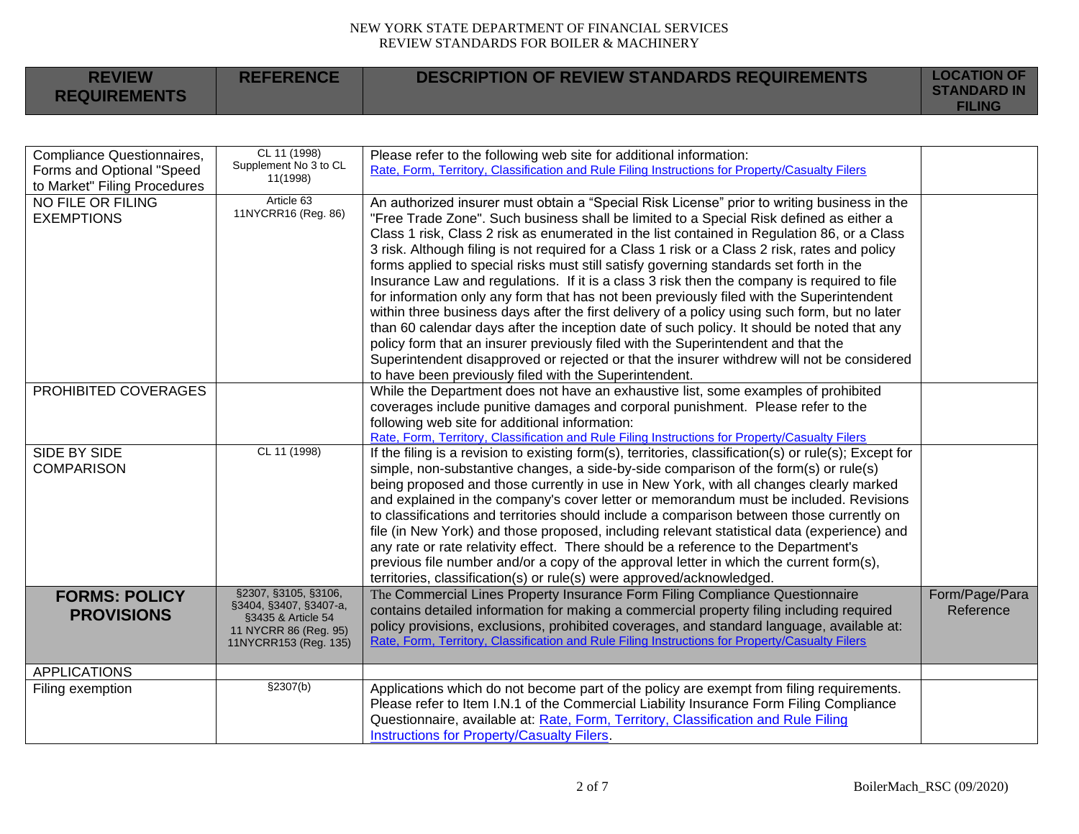| <b>REVIEW</b><br><b>REQUIREMENTS</b> | <b>REFERENCE</b> | <b>DESCRIPTION OF REVIEW STANDARDS REQUIREMENTS</b> | <b>LOCATION OF</b><br><b>STANDARD IN</b><br><b>FILING</b> |
|--------------------------------------|------------------|-----------------------------------------------------|-----------------------------------------------------------|
|                                      |                  |                                                     |                                                           |

| Compliance Questionnaires,<br>Forms and Optional "Speed | CL 11 (1998)<br>Supplement No 3 to CL                                                                                  | Please refer to the following web site for additional information:<br>Rate, Form, Territory, Classification and Rule Filing Instructions for Property/Casualty Filers                                                                                                                                                                                                                                                                                                                                                                                                                                                                                                                                                                                                                                                                                                                                                                                                                                                                                                                                                    |                             |
|---------------------------------------------------------|------------------------------------------------------------------------------------------------------------------------|--------------------------------------------------------------------------------------------------------------------------------------------------------------------------------------------------------------------------------------------------------------------------------------------------------------------------------------------------------------------------------------------------------------------------------------------------------------------------------------------------------------------------------------------------------------------------------------------------------------------------------------------------------------------------------------------------------------------------------------------------------------------------------------------------------------------------------------------------------------------------------------------------------------------------------------------------------------------------------------------------------------------------------------------------------------------------------------------------------------------------|-----------------------------|
| to Market" Filing Procedures                            | 11(1998)                                                                                                               |                                                                                                                                                                                                                                                                                                                                                                                                                                                                                                                                                                                                                                                                                                                                                                                                                                                                                                                                                                                                                                                                                                                          |                             |
| <b>NO FILE OR FILING</b><br><b>EXEMPTIONS</b>           | Article 63<br>11NYCRR16 (Reg. 86)                                                                                      | An authorized insurer must obtain a "Special Risk License" prior to writing business in the<br>"Free Trade Zone". Such business shall be limited to a Special Risk defined as either a<br>Class 1 risk, Class 2 risk as enumerated in the list contained in Regulation 86, or a Class<br>3 risk. Although filing is not required for a Class 1 risk or a Class 2 risk, rates and policy<br>forms applied to special risks must still satisfy governing standards set forth in the<br>Insurance Law and regulations. If it is a class 3 risk then the company is required to file<br>for information only any form that has not been previously filed with the Superintendent<br>within three business days after the first delivery of a policy using such form, but no later<br>than 60 calendar days after the inception date of such policy. It should be noted that any<br>policy form that an insurer previously filed with the Superintendent and that the<br>Superintendent disapproved or rejected or that the insurer withdrew will not be considered<br>to have been previously filed with the Superintendent. |                             |
| PROHIBITED COVERAGES                                    |                                                                                                                        | While the Department does not have an exhaustive list, some examples of prohibited<br>coverages include punitive damages and corporal punishment. Please refer to the<br>following web site for additional information:<br>Rate, Form, Territory, Classification and Rule Filing Instructions for Property/Casualty Filers                                                                                                                                                                                                                                                                                                                                                                                                                                                                                                                                                                                                                                                                                                                                                                                               |                             |
| SIDE BY SIDE<br><b>COMPARISON</b>                       | CL 11 (1998)                                                                                                           | If the filing is a revision to existing form(s), territories, classification(s) or rule(s); Except for<br>simple, non-substantive changes, a side-by-side comparison of the form(s) or rule(s)<br>being proposed and those currently in use in New York, with all changes clearly marked<br>and explained in the company's cover letter or memorandum must be included. Revisions<br>to classifications and territories should include a comparison between those currently on<br>file (in New York) and those proposed, including relevant statistical data (experience) and<br>any rate or rate relativity effect. There should be a reference to the Department's<br>previous file number and/or a copy of the approval letter in which the current form(s),<br>territories, classification(s) or rule(s) were approved/acknowledged.                                                                                                                                                                                                                                                                                 |                             |
| <b>FORMS: POLICY</b><br><b>PROVISIONS</b>               | §2307, §3105, §3106,<br>§3404, §3407, §3407-a,<br>§3435 & Article 54<br>11 NYCRR 86 (Reg. 95)<br>11NYCRR153 (Reg. 135) | The Commercial Lines Property Insurance Form Filing Compliance Questionnaire<br>contains detailed information for making a commercial property filing including required<br>policy provisions, exclusions, prohibited coverages, and standard language, available at:<br>Rate, Form, Territory, Classification and Rule Filing Instructions for Property/Casualty Filers                                                                                                                                                                                                                                                                                                                                                                                                                                                                                                                                                                                                                                                                                                                                                 | Form/Page/Para<br>Reference |
| <b>APPLICATIONS</b>                                     |                                                                                                                        |                                                                                                                                                                                                                                                                                                                                                                                                                                                                                                                                                                                                                                                                                                                                                                                                                                                                                                                                                                                                                                                                                                                          |                             |
| Filing exemption                                        | §2307(b)                                                                                                               | Applications which do not become part of the policy are exempt from filing requirements.<br>Please refer to Item I.N.1 of the Commercial Liability Insurance Form Filing Compliance<br>Questionnaire, available at: Rate, Form, Territory, Classification and Rule Filing<br>Instructions for Property/Casualty Filers.                                                                                                                                                                                                                                                                                                                                                                                                                                                                                                                                                                                                                                                                                                                                                                                                  |                             |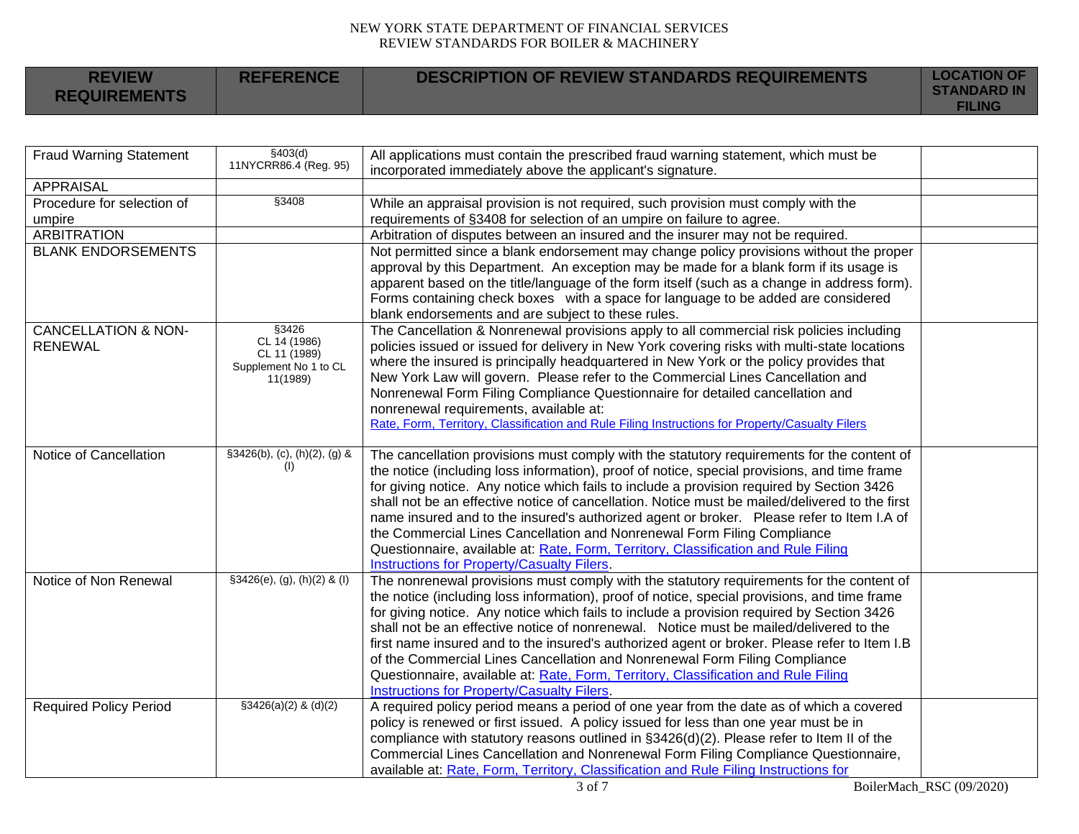| <b>REVIEW</b><br><b>REQUIREMENTS</b> | <b>REFERENCE</b> | <b>DESCRIPTION OF REVIEW STANDARDS REQUIREMENTS</b> | <b>LOCATION OF</b><br><b>STANDARD IN</b><br><b>FILING</b> |
|--------------------------------------|------------------|-----------------------------------------------------|-----------------------------------------------------------|
|--------------------------------------|------------------|-----------------------------------------------------|-----------------------------------------------------------|

| <b>Fraud Warning Statement</b>                   | \$403(d)<br>11NYCRR86.4 (Reg. 95)                                          | All applications must contain the prescribed fraud warning statement, which must be<br>incorporated immediately above the applicant's signature.                                                                                                                                                                                                                                                                                                                                                                                                                                                                                                                                                              |  |
|--------------------------------------------------|----------------------------------------------------------------------------|---------------------------------------------------------------------------------------------------------------------------------------------------------------------------------------------------------------------------------------------------------------------------------------------------------------------------------------------------------------------------------------------------------------------------------------------------------------------------------------------------------------------------------------------------------------------------------------------------------------------------------------------------------------------------------------------------------------|--|
| <b>APPRAISAL</b>                                 |                                                                            |                                                                                                                                                                                                                                                                                                                                                                                                                                                                                                                                                                                                                                                                                                               |  |
| Procedure for selection of<br>umpire             | §3408                                                                      | While an appraisal provision is not required, such provision must comply with the<br>requirements of §3408 for selection of an umpire on failure to agree.                                                                                                                                                                                                                                                                                                                                                                                                                                                                                                                                                    |  |
| <b>ARBITRATION</b>                               |                                                                            | Arbitration of disputes between an insured and the insurer may not be required.                                                                                                                                                                                                                                                                                                                                                                                                                                                                                                                                                                                                                               |  |
| <b>BLANK ENDORSEMENTS</b>                        |                                                                            | Not permitted since a blank endorsement may change policy provisions without the proper<br>approval by this Department. An exception may be made for a blank form if its usage is<br>apparent based on the title/language of the form itself (such as a change in address form).<br>Forms containing check boxes with a space for language to be added are considered<br>blank endorsements and are subject to these rules.                                                                                                                                                                                                                                                                                   |  |
| <b>CANCELLATION &amp; NON-</b><br><b>RENEWAL</b> | §3426<br>CL 14 (1986)<br>CL 11 (1989)<br>Supplement No 1 to CL<br>11(1989) | The Cancellation & Nonrenewal provisions apply to all commercial risk policies including<br>policies issued or issued for delivery in New York covering risks with multi-state locations<br>where the insured is principally headquartered in New York or the policy provides that<br>New York Law will govern. Please refer to the Commercial Lines Cancellation and<br>Nonrenewal Form Filing Compliance Questionnaire for detailed cancellation and<br>nonrenewal requirements, available at:<br>Rate, Form, Territory, Classification and Rule Filing Instructions for Property/Casualty Filers                                                                                                           |  |
| Notice of Cancellation                           | $§3426(b), (c), (h)(2), (g)$ &<br>(1)                                      | The cancellation provisions must comply with the statutory requirements for the content of<br>the notice (including loss information), proof of notice, special provisions, and time frame<br>for giving notice. Any notice which fails to include a provision required by Section 3426<br>shall not be an effective notice of cancellation. Notice must be mailed/delivered to the first<br>name insured and to the insured's authorized agent or broker.  Please refer to Item I.A of<br>the Commercial Lines Cancellation and Nonrenewal Form Filing Compliance<br>Questionnaire, available at: Rate, Form, Territory, Classification and Rule Filing<br><b>Instructions for Property/Casualty Filers.</b> |  |
| Notice of Non Renewal                            | $§3426(e), (g), (h)(2)$ & (I)                                              | The nonrenewal provisions must comply with the statutory requirements for the content of<br>the notice (including loss information), proof of notice, special provisions, and time frame<br>for giving notice. Any notice which fails to include a provision required by Section 3426<br>shall not be an effective notice of nonrenewal. Notice must be mailed/delivered to the<br>first name insured and to the insured's authorized agent or broker. Please refer to Item I.B<br>of the Commercial Lines Cancellation and Nonrenewal Form Filing Compliance<br>Questionnaire, available at: Rate, Form, Territory, Classification and Rule Filing<br><b>Instructions for Property/Casualty Filers.</b>      |  |
| <b>Required Policy Period</b>                    | $$3426(a)(2)$ & (d)(2)                                                     | A required policy period means a period of one year from the date as of which a covered<br>policy is renewed or first issued. A policy issued for less than one year must be in<br>compliance with statutory reasons outlined in §3426(d)(2). Please refer to Item II of the<br>Commercial Lines Cancellation and Nonrenewal Form Filing Compliance Questionnaire,<br>available at: Rate, Form, Territory, Classification and Rule Filing Instructions for                                                                                                                                                                                                                                                    |  |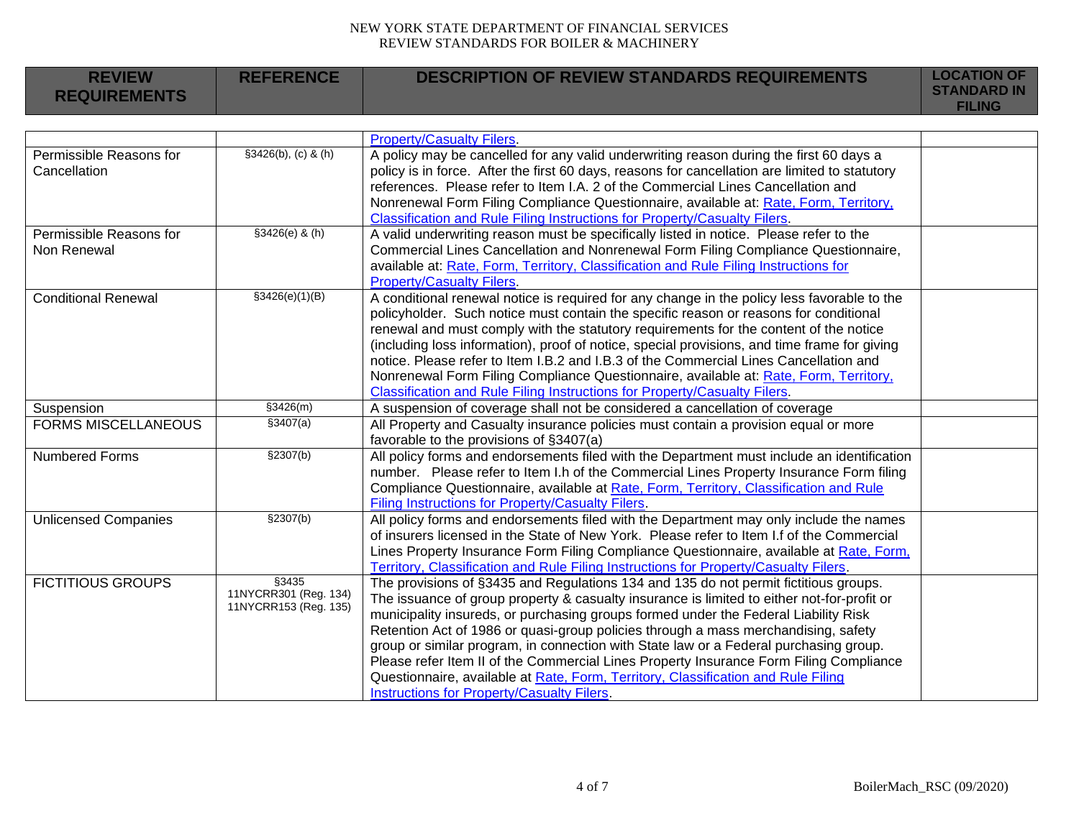| <b>REVIEW</b>               | <b>REFERENCE</b>               | <b>DESCRIPTION OF REVIEW STANDARDS REQUIREMENTS</b>                                            | <b>LOCATION OF</b> |
|-----------------------------|--------------------------------|------------------------------------------------------------------------------------------------|--------------------|
| <b>REQUIREMENTS</b>         |                                |                                                                                                | <b>STANDARD IN</b> |
|                             |                                |                                                                                                | <b>FILING</b>      |
|                             |                                |                                                                                                |                    |
|                             |                                | <b>Property/Casualty Filers.</b>                                                               |                    |
| Permissible Reasons for     | $$3426(b), (c)$ & (h)          | A policy may be cancelled for any valid underwriting reason during the first 60 days a         |                    |
| Cancellation                |                                | policy is in force. After the first 60 days, reasons for cancellation are limited to statutory |                    |
|                             |                                | references. Please refer to Item I.A. 2 of the Commercial Lines Cancellation and               |                    |
|                             |                                | Nonrenewal Form Filing Compliance Questionnaire, available at: Rate, Form, Territory,          |                    |
|                             |                                | Classification and Rule Filing Instructions for Property/Casualty Filers.                      |                    |
| Permissible Reasons for     | $$3426(e)$ & (h)               | A valid underwriting reason must be specifically listed in notice. Please refer to the         |                    |
| Non Renewal                 |                                | Commercial Lines Cancellation and Nonrenewal Form Filing Compliance Questionnaire,             |                    |
|                             |                                | available at: Rate, Form, Territory, Classification and Rule Filing Instructions for           |                    |
|                             |                                | <b>Property/Casualty Filers.</b>                                                               |                    |
| <b>Conditional Renewal</b>  | \$3426(e)(1)(B)                | A conditional renewal notice is required for any change in the policy less favorable to the    |                    |
|                             |                                | policyholder. Such notice must contain the specific reason or reasons for conditional          |                    |
|                             |                                | renewal and must comply with the statutory requirements for the content of the notice          |                    |
|                             |                                | (including loss information), proof of notice, special provisions, and time frame for giving   |                    |
|                             |                                | notice. Please refer to Item I.B.2 and I.B.3 of the Commercial Lines Cancellation and          |                    |
|                             |                                | Nonrenewal Form Filing Compliance Questionnaire, available at: Rate, Form, Territory,          |                    |
|                             |                                | Classification and Rule Filing Instructions for Property/Casualty Filers.                      |                    |
| Suspension                  | \$3426(m)                      | A suspension of coverage shall not be considered a cancellation of coverage                    |                    |
| <b>FORMS MISCELLANEOUS</b>  | \$3407(a)                      | All Property and Casualty insurance policies must contain a provision equal or more            |                    |
|                             |                                | favorable to the provisions of §3407(a)                                                        |                    |
| <b>Numbered Forms</b>       | \$2307(b)                      | All policy forms and endorsements filed with the Department must include an identification     |                    |
|                             |                                | number. Please refer to Item I.h of the Commercial Lines Property Insurance Form filing        |                    |
|                             |                                | Compliance Questionnaire, available at Rate, Form, Territory, Classification and Rule          |                    |
|                             |                                | Filing Instructions for Property/Casualty Filers.                                              |                    |
| <b>Unlicensed Companies</b> | \$2307(b)                      | All policy forms and endorsements filed with the Department may only include the names         |                    |
|                             |                                | of insurers licensed in the State of New York. Please refer to Item I.f of the Commercial      |                    |
|                             |                                | Lines Property Insurance Form Filing Compliance Questionnaire, available at Rate, Form,        |                    |
|                             |                                | Territory, Classification and Rule Filing Instructions for Property/Casualty Filers.           |                    |
| <b>FICTITIOUS GROUPS</b>    | §3435<br>11NYCRR301 (Reg. 134) | The provisions of §3435 and Regulations 134 and 135 do not permit fictitious groups.           |                    |
|                             | 11NYCRR153 (Reg. 135)          | The issuance of group property & casualty insurance is limited to either not-for-profit or     |                    |
|                             |                                | municipality insureds, or purchasing groups formed under the Federal Liability Risk            |                    |
|                             |                                | Retention Act of 1986 or quasi-group policies through a mass merchandising, safety             |                    |
|                             |                                | group or similar program, in connection with State law or a Federal purchasing group.          |                    |
|                             |                                | Please refer Item II of the Commercial Lines Property Insurance Form Filing Compliance         |                    |
|                             |                                | Questionnaire, available at Rate, Form, Territory, Classification and Rule Filing              |                    |
|                             |                                | Instructions for Property/Casualty Filers.                                                     |                    |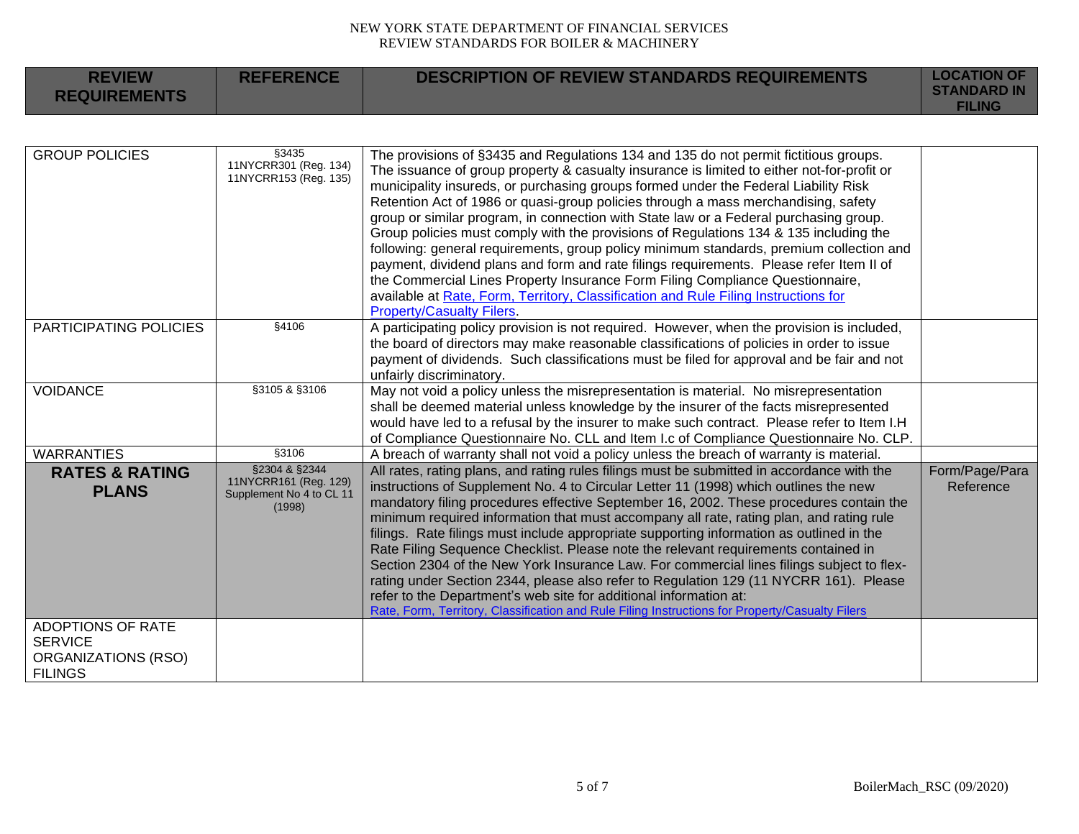| <b>REVIEW</b><br><b>REQUIREMENTS</b>                                                | <b>REFERENCE</b>                                                             | <b>DESCRIPTION OF REVIEW STANDARDS REQUIREMENTS</b>                                                                                                                                                                                                                                                                                                                                                                                                                                                                                                                                                                                                                                                                                                                                                                                                                                                                                                 | <b>LOCATION OF</b><br><b>STANDARD IN</b><br><b>FILING</b> |
|-------------------------------------------------------------------------------------|------------------------------------------------------------------------------|-----------------------------------------------------------------------------------------------------------------------------------------------------------------------------------------------------------------------------------------------------------------------------------------------------------------------------------------------------------------------------------------------------------------------------------------------------------------------------------------------------------------------------------------------------------------------------------------------------------------------------------------------------------------------------------------------------------------------------------------------------------------------------------------------------------------------------------------------------------------------------------------------------------------------------------------------------|-----------------------------------------------------------|
|                                                                                     |                                                                              |                                                                                                                                                                                                                                                                                                                                                                                                                                                                                                                                                                                                                                                                                                                                                                                                                                                                                                                                                     |                                                           |
| <b>GROUP POLICIES</b>                                                               | §3435<br>11NYCRR301 (Reg. 134)<br>11NYCRR153 (Reg. 135)                      | The provisions of §3435 and Regulations 134 and 135 do not permit fictitious groups.<br>The issuance of group property & casualty insurance is limited to either not-for-profit or<br>municipality insureds, or purchasing groups formed under the Federal Liability Risk<br>Retention Act of 1986 or quasi-group policies through a mass merchandising, safety<br>group or similar program, in connection with State law or a Federal purchasing group.<br>Group policies must comply with the provisions of Regulations 134 & 135 including the<br>following: general requirements, group policy minimum standards, premium collection and<br>payment, dividend plans and form and rate filings requirements. Please refer Item II of<br>the Commercial Lines Property Insurance Form Filing Compliance Questionnaire,<br>available at Rate, Form, Territory, Classification and Rule Filing Instructions for<br><b>Property/Casualty Filers.</b> |                                                           |
| PARTICIPATING POLICIES                                                              | §4106                                                                        | A participating policy provision is not required. However, when the provision is included,<br>the board of directors may make reasonable classifications of policies in order to issue<br>payment of dividends. Such classifications must be filed for approval and be fair and not<br>unfairly discriminatory.                                                                                                                                                                                                                                                                                                                                                                                                                                                                                                                                                                                                                                     |                                                           |
| <b>VOIDANCE</b>                                                                     | §3105 & §3106                                                                | May not void a policy unless the misrepresentation is material. No misrepresentation<br>shall be deemed material unless knowledge by the insurer of the facts misrepresented<br>would have led to a refusal by the insurer to make such contract. Please refer to Item I.H<br>of Compliance Questionnaire No. CLL and Item I.c of Compliance Questionnaire No. CLP.                                                                                                                                                                                                                                                                                                                                                                                                                                                                                                                                                                                 |                                                           |
| <b>WARRANTIES</b>                                                                   | §3106                                                                        | A breach of warranty shall not void a policy unless the breach of warranty is material.                                                                                                                                                                                                                                                                                                                                                                                                                                                                                                                                                                                                                                                                                                                                                                                                                                                             |                                                           |
| <b>RATES &amp; RATING</b><br><b>PLANS</b>                                           | §2304 & §2344<br>11NYCRR161 (Reg. 129)<br>Supplement No 4 to CL 11<br>(1998) | All rates, rating plans, and rating rules filings must be submitted in accordance with the<br>instructions of Supplement No. 4 to Circular Letter 11 (1998) which outlines the new<br>mandatory filing procedures effective September 16, 2002. These procedures contain the<br>minimum required information that must accompany all rate, rating plan, and rating rule<br>filings. Rate filings must include appropriate supporting information as outlined in the<br>Rate Filing Sequence Checklist. Please note the relevant requirements contained in<br>Section 2304 of the New York Insurance Law. For commercial lines filings subject to flex-<br>rating under Section 2344, please also refer to Regulation 129 (11 NYCRR 161). Please<br>refer to the Department's web site for additional information at:<br>Rate, Form, Territory, Classification and Rule Filing Instructions for Property/Casualty Filers                             | Form/Page/Para<br>Reference                               |
| <b>ADOPTIONS OF RATE</b><br><b>SERVICE</b><br>ORGANIZATIONS (RSO)<br><b>FILINGS</b> |                                                                              |                                                                                                                                                                                                                                                                                                                                                                                                                                                                                                                                                                                                                                                                                                                                                                                                                                                                                                                                                     |                                                           |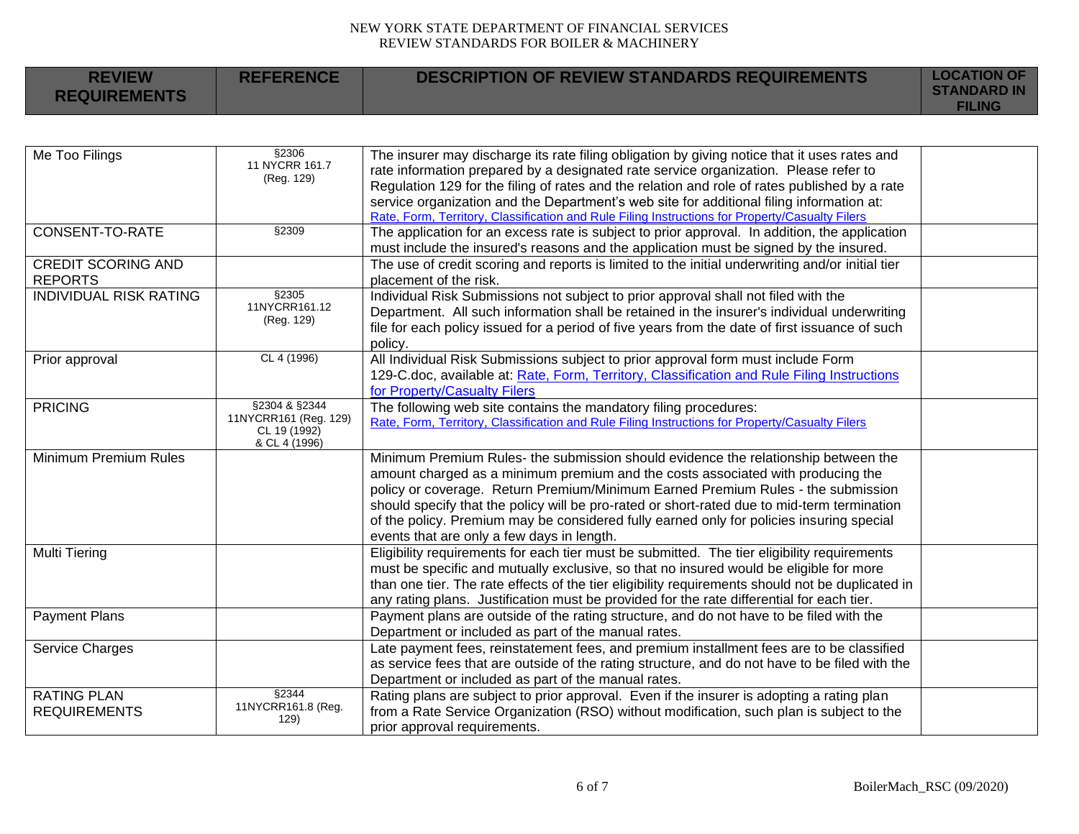**REFERENCE DESCRIPTION OF REVIEW STANDARDS REQUIREMENTS LOCATION OF** 

**REVIEW** 

| <b>REQUIREMENTS</b>                       |                                                                         |                                                                                                                                                                                                                                                                                                                                                                                                                                                                                                    | <b>STANDARD IN</b><br><b>FILING</b> |
|-------------------------------------------|-------------------------------------------------------------------------|----------------------------------------------------------------------------------------------------------------------------------------------------------------------------------------------------------------------------------------------------------------------------------------------------------------------------------------------------------------------------------------------------------------------------------------------------------------------------------------------------|-------------------------------------|
|                                           |                                                                         |                                                                                                                                                                                                                                                                                                                                                                                                                                                                                                    |                                     |
| Me Too Filings                            | §2306<br>11 NYCRR 161.7<br>(Reg. 129)                                   | The insurer may discharge its rate filing obligation by giving notice that it uses rates and<br>rate information prepared by a designated rate service organization. Please refer to<br>Regulation 129 for the filing of rates and the relation and role of rates published by a rate<br>service organization and the Department's web site for additional filing information at:<br>Rate, Form, Territory, Classification and Rule Filing Instructions for Property/Casualty Filers               |                                     |
| <b>CONSENT-TO-RATE</b>                    | §2309                                                                   | The application for an excess rate is subject to prior approval. In addition, the application<br>must include the insured's reasons and the application must be signed by the insured.                                                                                                                                                                                                                                                                                                             |                                     |
| CREDIT SCORING AND<br><b>REPORTS</b>      |                                                                         | The use of credit scoring and reports is limited to the initial underwriting and/or initial tier<br>placement of the risk.                                                                                                                                                                                                                                                                                                                                                                         |                                     |
| <b>INDIVIDUAL RISK RATING</b>             | §2305<br>11NYCRR161.12<br>(Reg. 129)                                    | Individual Risk Submissions not subject to prior approval shall not filed with the<br>Department. All such information shall be retained in the insurer's individual underwriting<br>file for each policy issued for a period of five years from the date of first issuance of such<br>policy.                                                                                                                                                                                                     |                                     |
| Prior approval                            | CL 4 (1996)                                                             | All Individual Risk Submissions subject to prior approval form must include Form<br>129-C.doc, available at: Rate, Form, Territory, Classification and Rule Filing Instructions<br>for Property/Casualty Filers                                                                                                                                                                                                                                                                                    |                                     |
| <b>PRICING</b>                            | §2304 & §2344<br>11NYCRR161 (Reg. 129)<br>CL 19 (1992)<br>& CL 4 (1996) | The following web site contains the mandatory filing procedures:<br>Rate, Form, Territory, Classification and Rule Filing Instructions for Property/Casualty Filers                                                                                                                                                                                                                                                                                                                                |                                     |
| Minimum Premium Rules                     |                                                                         | Minimum Premium Rules- the submission should evidence the relationship between the<br>amount charged as a minimum premium and the costs associated with producing the<br>policy or coverage. Return Premium/Minimum Earned Premium Rules - the submission<br>should specify that the policy will be pro-rated or short-rated due to mid-term termination<br>of the policy. Premium may be considered fully earned only for policies insuring special<br>events that are only a few days in length. |                                     |
| Multi Tiering                             |                                                                         | Eligibility requirements for each tier must be submitted. The tier eligibility requirements<br>must be specific and mutually exclusive, so that no insured would be eligible for more<br>than one tier. The rate effects of the tier eligibility requirements should not be duplicated in<br>any rating plans. Justification must be provided for the rate differential for each tier.                                                                                                             |                                     |
| <b>Payment Plans</b>                      |                                                                         | Payment plans are outside of the rating structure, and do not have to be filed with the<br>Department or included as part of the manual rates.                                                                                                                                                                                                                                                                                                                                                     |                                     |
| Service Charges                           |                                                                         | Late payment fees, reinstatement fees, and premium installment fees are to be classified<br>as service fees that are outside of the rating structure, and do not have to be filed with the<br>Department or included as part of the manual rates.                                                                                                                                                                                                                                                  |                                     |
| <b>RATING PLAN</b><br><b>REQUIREMENTS</b> | §2344<br>11NYCRR161.8 (Reg.<br>129)                                     | Rating plans are subject to prior approval. Even if the insurer is adopting a rating plan<br>from a Rate Service Organization (RSO) without modification, such plan is subject to the<br>prior approval requirements.                                                                                                                                                                                                                                                                              |                                     |